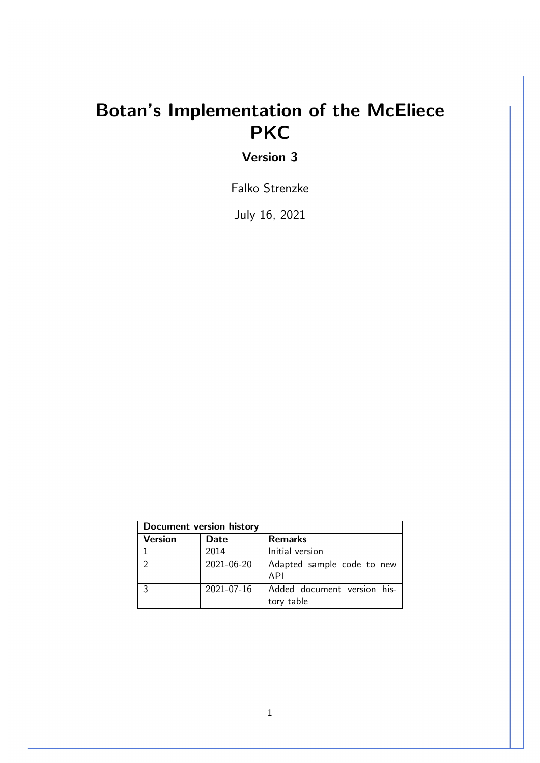# Botan's Implementation of the McEliece **PKC**

Version 3

Falko Strenzke

July 16, 2021

| Document version history |            |                                           |
|--------------------------|------------|-------------------------------------------|
| <b>Version</b>           | Date       | <b>Remarks</b>                            |
| 1                        | 2014       | Initial version                           |
| $\mathcal{D}$            | 2021-06-20 | Adapted sample code to new<br>API         |
| 3                        | 2021-07-16 | Added document version his-<br>tory table |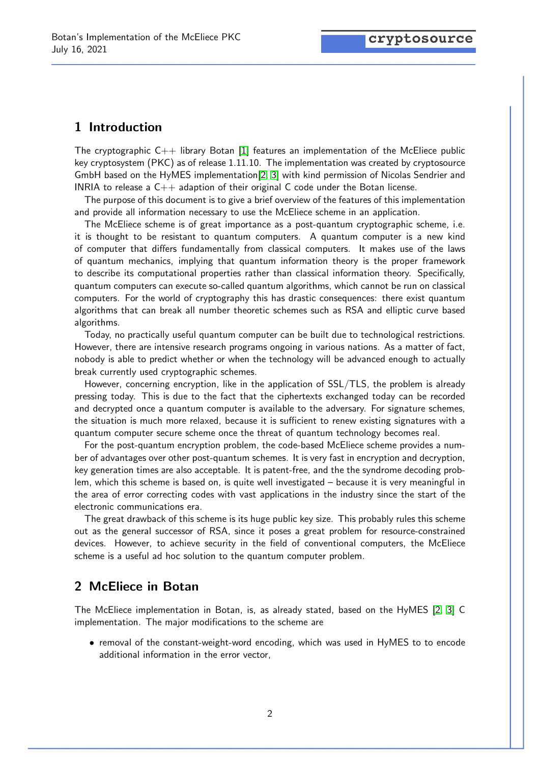## 1 Introduction

The cryptographic  $C++$  library Botan [\[1\]](#page-4-0) features an implementation of the McEliece public key cryptosystem (PKC) as of release 1.11.10. The implementation was created by cryptosource GmbH based on the HyMES implementation[\[2,](#page-4-1) [3\]](#page-4-2) with kind permission of Nicolas Sendrier and INRIA to release a  $C_{++}$  adaption of their original C code under the Botan license.

The purpose of this document is to give a brief overview of the features of this implementation and provide all information necessary to use the McEliece scheme in an application.

The McEliece scheme is of great importance as a post-quantum cryptographic scheme, i.e. it is thought to be resistant to quantum computers. A quantum computer is a new kind of computer that differs fundamentally from classical computers. It makes use of the laws of quantum mechanics, implying that quantum information theory is the proper framework to describe its computational properties rather than classical information theory. Specifically, quantum computers can execute so-called quantum algorithms, which cannot be run on classical computers. For the world of cryptography this has drastic consequences: there exist quantum algorithms that can break all number theoretic schemes such as RSA and elliptic curve based algorithms.

Today, no practically useful quantum computer can be built due to technological restrictions. However, there are intensive research programs ongoing in various nations. As a matter of fact, nobody is able to predict whether or when the technology will be advanced enough to actually break currently used cryptographic schemes.

However, concerning encryption, like in the application of SSL/TLS, the problem is already pressing today. This is due to the fact that the ciphertexts exchanged today can be recorded and decrypted once a quantum computer is available to the adversary. For signature schemes, the situation is much more relaxed, because it is sufficient to renew existing signatures with a quantum computer secure scheme once the threat of quantum technology becomes real.

For the post-quantum encryption problem, the code-based McEliece scheme provides a number of advantages over other post-quantum schemes. It is very fast in encryption and decryption, key generation times are also acceptable. It is patent-free, and the the syndrome decoding problem, which this scheme is based on, is quite well investigated – because it is very meaningful in the area of error correcting codes with vast applications in the industry since the start of the electronic communications era.

The great drawback of this scheme is its huge public key size. This probably rules this scheme out as the general successor of RSA, since it poses a great problem for resource-constrained devices. However, to achieve security in the field of conventional computers, the McEliece scheme is a useful ad hoc solution to the quantum computer problem.

## 2 McEliece in Botan

The McEliece implementation in Botan, is, as already stated, based on the HyMES [\[2,](#page-4-1) [3\]](#page-4-2) C implementation. The major modifications to the scheme are

• removal of the constant-weight-word encoding, which was used in HyMES to to encode additional information in the error vector,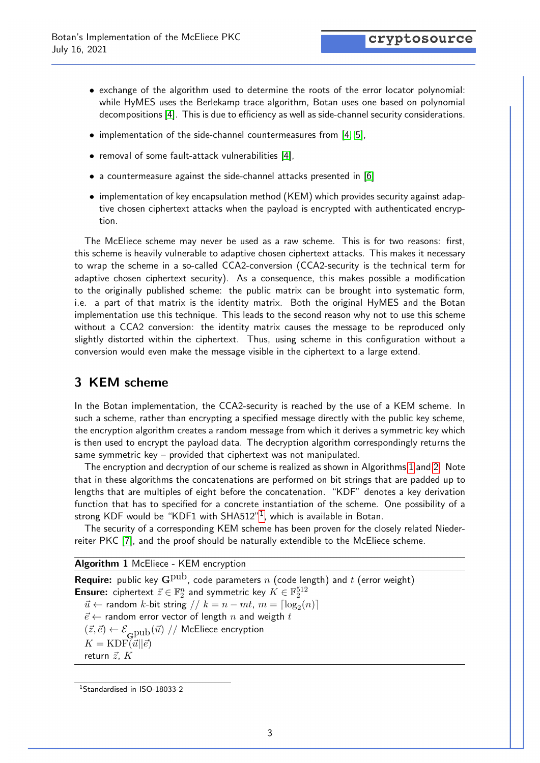- exchange of the algorithm used to determine the roots of the error locator polynomial: while HyMES uses the Berlekamp trace algorithm, Botan uses one based on polynomial decompositions [\[4\]](#page-4-3). This is due to efficiency as well as side-channel security considerations.
- implementation of the side-channel countermeasures from [\[4,](#page-4-3) [5\]](#page-5-0),
- removal of some fault-attack vulnerabilities [\[4\]](#page-4-3),
- a countermeasure against the side-channel attacks presented in [\[6\]](#page-5-1)
- implementation of key encapsulation method (KEM) which provides security against adaptive chosen ciphertext attacks when the payload is encrypted with authenticated encryption.

The McEliece scheme may never be used as a raw scheme. This is for two reasons: first, this scheme is heavily vulnerable to adaptive chosen ciphertext attacks. This makes it necessary to wrap the scheme in a so-called CCA2-conversion (CCA2-security is the technical term for adaptive chosen ciphertext security). As a consequence, this makes possible a modification to the originally published scheme: the public matrix can be brought into systematic form, i.e. a part of that matrix is the identity matrix. Both the original HyMES and the Botan implementation use this technique. This leads to the second reason why not to use this scheme without a CCA2 conversion: the identity matrix causes the message to be reproduced only slightly distorted within the ciphertext. Thus, using scheme in this configuration without a conversion would even make the message visible in the ciphertext to a large extend.

# 3 KEM scheme

In the Botan implementation, the CCA2-security is reached by the use of a KEM scheme. In such a scheme, rather than encrypting a specified message directly with the public key scheme, the encryption algorithm creates a random message from which it derives a symmetric key which is then used to encrypt the payload data. The decryption algorithm correspondingly returns the same symmetric key – provided that ciphertext was not manipulated.

The encryption and decryption of our scheme is realized as shown in Algorithms [1](#page-2-0) and [2.](#page-3-0) Note that in these algorithms the concatenations are performed on bit strings that are padded up to lengths that are multiples of eight before the concatenation. "KDF" denotes a key derivation function that has to specified for a concrete instantiation of the scheme. One possibility of a strong KDF would be "KDF[1](#page-2-1) with SHA512"<sup>1</sup>, which is available in Botan.

The security of a corresponding KEM scheme has been proven for the closely related Niederreiter PKC [\[7\]](#page-5-2), and the proof should be naturally extendible to the McEliece scheme.

Algorithm 1 McEliece - KEM encryption

<span id="page-2-0"></span>**Require:** public key  $\mathbf{G}^{\text{pub}}$ , code parameters n (code length) and t (error weight) **Ensure:** ciphertext  $\vec{z} \in \mathbb{F}_2^n$  and symmetric key  $\vec{K} \in \mathbb{F}_2^{512}$  $\vec{u}$  ← random k-bit string //  $k = n - mt$ ,  $m = \lceil \log_2(n) \rceil$  $\vec{e} \leftarrow$  random error vector of length  $n$  and weigth  $t$  $(\vec{z},\vec{e}) \leftarrow \mathcal{E}_{\bf Q \rm Pub}(\vec{u}) \; / / \;$  McEliece encryption  $K = \text{KDF}(\vec{u}||\vec{e})$ return  $\vec{z}$ ,  $K$ 

<span id="page-2-1"></span><sup>1</sup>Standardised in ISO-18033-2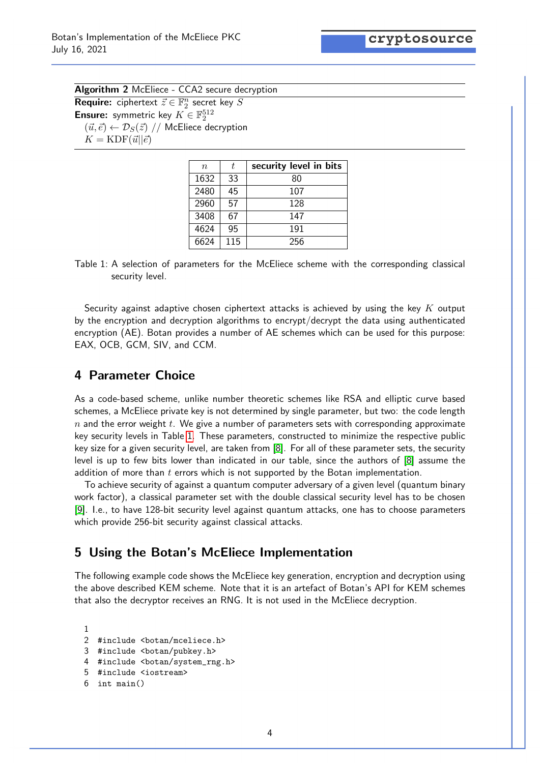<span id="page-3-1"></span>cryptosource

<span id="page-3-0"></span>

| <b>Algorithm 2</b> McEliece - CCA2 secure decryption                          |  |  |
|-------------------------------------------------------------------------------|--|--|
| <b>Require:</b> ciphertext $\vec{z} \in \mathbb{F}_2^n$ secret key S          |  |  |
| <b>Ensure:</b> symmetric key $K \in \mathbb{F}_2^{512}$                       |  |  |
| $(\vec{u}, \vec{e}) \leftarrow \mathcal{D}_S(\vec{z})$ // McEliece decryption |  |  |
| $K = KDF(\vec{u}  \vec{e})$                                                   |  |  |

| $\eta$ | t.  | security level in bits |
|--------|-----|------------------------|
| 1632   | 33  | 80                     |
| 2480   | 45  | 107                    |
| 2960   | 57  | 128                    |
| 3408   | 67  | 147                    |
| 4624   | 95  | 191                    |
| 6624   | 115 | 256                    |

Table 1: A selection of parameters for the McEliece scheme with the corresponding classical security level.

Security against adaptive chosen ciphertext attacks is achieved by using the key  $K$  output by the encryption and decryption algorithms to encrypt/decrypt the data using authenticated encryption (AE). Botan provides a number of AE schemes which can be used for this purpose: EAX, OCB, GCM, SIV, and CCM.

## 4 Parameter Choice

As a code-based scheme, unlike number theoretic schemes like RSA and elliptic curve based schemes, a McEliece private key is not determined by single parameter, but two: the code length  $n$  and the error weight t. We give a number of parameters sets with corresponding approximate key security levels in Table [1.](#page-3-1) These parameters, constructed to minimize the respective public key size for a given security level, are taken from [\[8\]](#page-5-3). For all of these parameter sets, the security level is up to few bits lower than indicated in our table, since the authors of [\[8\]](#page-5-3) assume the addition of more than  $t$  errors which is not supported by the Botan implementation.

To achieve security of against a quantum computer adversary of a given level (quantum binary work factor), a classical parameter set with the double classical security level has to be chosen [\[9\]](#page-5-4). I.e., to have 128-bit security level against quantum attacks, one has to choose parameters which provide 256-bit security against classical attacks.

## 5 Using the Botan's McEliece Implementation

The following example code shows the McEliece key generation, encryption and decryption using the above described KEM scheme. Note that it is an artefact of Botan's API for KEM schemes that also the decryptor receives an RNG. It is not used in the McEliece decryption.

1 #include <botan/mceliece.h> #include <botan/pubkey.h> 4 #include <botan/system rng.h> #include <iostream> int main()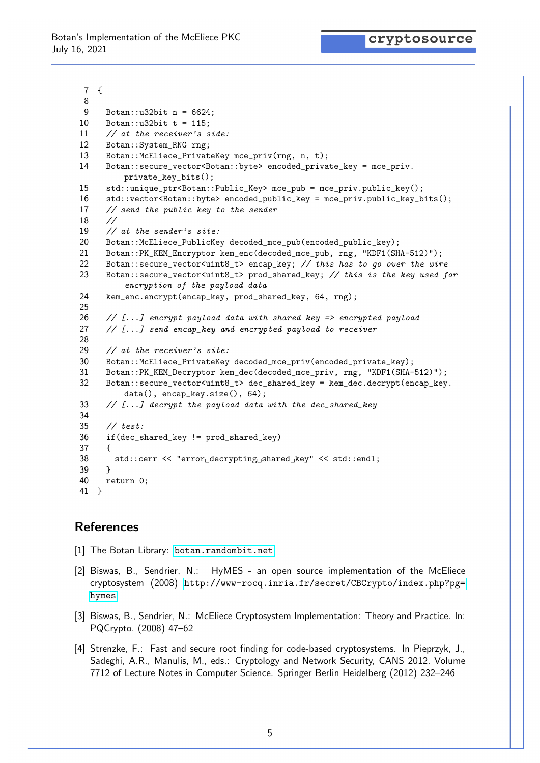cryptosource

```
7 {
8
9 Botan::u32bit n = 6624;
10 Botan:: u32bit t = 115;
11 // at the receiver's side:
12 Botan::System_RNG rng;
13 Botan::McEliece_PrivateKey mce_priv(rng, n, t);
14 Botan::secure_vector<Botan::byte> encoded_private_key = mce_priv.
         private_key_bits();
15 std::unique_ptr<Botan::Public_Key> mce_pub = mce_priv.public_key();
16 std::vector<Botan::byte> encoded_public_key = mce_priv.public_key_bits();
17 // send the public key to the sender
18 //
19 // at the sender's site:
20 Botan::McEliece_PublicKey decoded_mce_pub(encoded_public_key);
21 Botan::PK_KEM_Encryptor kem_enc(decoded_mce_pub, rng, "KDF1(SHA-512)");
22 Botan::secure_vector<uint8_t> encap_key; // this has to go over the wire
23 Botan::secure_vector<uint8_t> prod_shared_key; // this is the key used for
         encryption of the payload data
24 kem_enc.encrypt(encap_key, prod_shared_key, 64, rng);
25
26 \frac{1}{2} [...] encrypt payload data with shared key => encrypted payload
27 // [...] send encap_key and encrypted payload to receiver
28
29 // at the receiver's site:
30 Botan::McEliece_PrivateKey decoded_mce_priv(encoded_private_key);
31 Botan::PK_KEM_Decryptor kem_dec(decoded_mce_priv, rng, "KDF1(SHA-512)");
32 Botan::secure_vector<uint8_t> dec_shared_key = kem_dec.decrypt(encap_key.
         data(), encap_key.size(), 64);
33 // [...] decrypt the payload data with the dec_shared_key
34
35 // test:
36 if(dec_shared_key != prod_shared_key)
37 {
38 std::cerr << "error<sub>u</sub>decrypting<sub>Li</sub>shared<sub>Li</sub>key" << std::endl;
39 }
40 return 0;
41 }
```
## References

- <span id="page-4-0"></span>[1] The Botan Library: <botan.randombit.net>.
- <span id="page-4-1"></span>[2] Biswas, B., Sendrier, N.: HyMES - an open source implementation of the McEliece cryptosystem (2008) [http://www-rocq.inria.fr/secret/CBCrypto/index.php?pg=](http://www-rocq.inria.fr/secret/CBCrypto/index.php?pg=hymes) [hymes](http://www-rocq.inria.fr/secret/CBCrypto/index.php?pg=hymes).
- <span id="page-4-2"></span>[3] Biswas, B., Sendrier, N.: McEliece Cryptosystem Implementation: Theory and Practice. In: PQCrypto. (2008) 47–62
- <span id="page-4-3"></span>[4] Strenzke, F.: Fast and secure root finding for code-based cryptosystems. In Pieprzyk, J., Sadeghi, A.R., Manulis, M., eds.: Cryptology and Network Security, CANS 2012. Volume 7712 of Lecture Notes in Computer Science. Springer Berlin Heidelberg (2012) 232–246